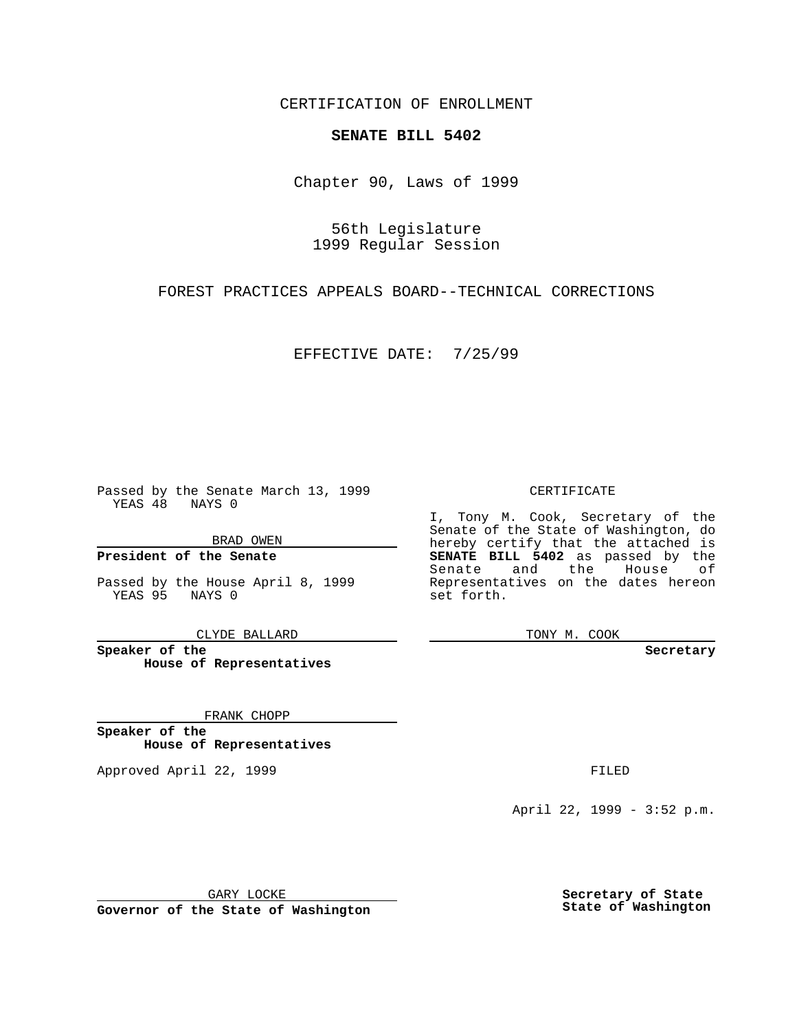CERTIFICATION OF ENROLLMENT

## **SENATE BILL 5402**

Chapter 90, Laws of 1999

56th Legislature 1999 Regular Session

FOREST PRACTICES APPEALS BOARD--TECHNICAL CORRECTIONS

EFFECTIVE DATE: 7/25/99

Passed by the Senate March 13, 1999 YEAS 48 NAYS 0

BRAD OWEN

**President of the Senate**

Passed by the House April 8, 1999 YEAS 95 NAYS 0

CLYDE BALLARD

**Speaker of the House of Representatives**

FRANK CHOPP

**Speaker of the House of Representatives**

Approved April 22, 1999 **FILED** 

CERTIFICATE

I, Tony M. Cook, Secretary of the Senate of the State of Washington, do hereby certify that the attached is **SENATE BILL 5402** as passed by the Senate and the House of Representatives on the dates hereon set forth.

TONY M. COOK

**Secretary**

April 22, 1999 - 3:52 p.m.

GARY LOCKE

**Governor of the State of Washington**

**Secretary of State State of Washington**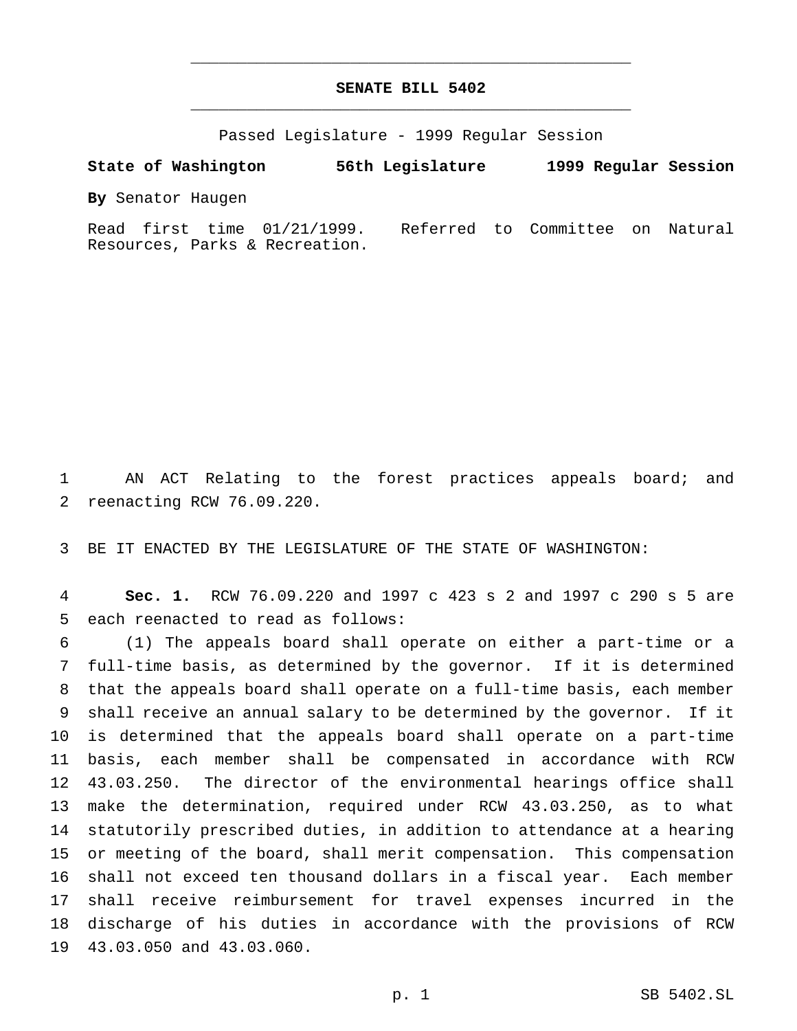## **SENATE BILL 5402** \_\_\_\_\_\_\_\_\_\_\_\_\_\_\_\_\_\_\_\_\_\_\_\_\_\_\_\_\_\_\_\_\_\_\_\_\_\_\_\_\_\_\_\_\_\_\_

\_\_\_\_\_\_\_\_\_\_\_\_\_\_\_\_\_\_\_\_\_\_\_\_\_\_\_\_\_\_\_\_\_\_\_\_\_\_\_\_\_\_\_\_\_\_\_

Passed Legislature - 1999 Regular Session

**State of Washington 56th Legislature 1999 Regular Session**

**By** Senator Haugen

Read first time 01/21/1999. Referred to Committee on Natural Resources, Parks & Recreation.

 AN ACT Relating to the forest practices appeals board; and reenacting RCW 76.09.220.

BE IT ENACTED BY THE LEGISLATURE OF THE STATE OF WASHINGTON:

 **Sec. 1.** RCW 76.09.220 and 1997 c 423 s 2 and 1997 c 290 s 5 are each reenacted to read as follows:

 (1) The appeals board shall operate on either a part-time or a full-time basis, as determined by the governor. If it is determined that the appeals board shall operate on a full-time basis, each member shall receive an annual salary to be determined by the governor. If it is determined that the appeals board shall operate on a part-time basis, each member shall be compensated in accordance with RCW 43.03.250. The director of the environmental hearings office shall make the determination, required under RCW 43.03.250, as to what statutorily prescribed duties, in addition to attendance at a hearing or meeting of the board, shall merit compensation. This compensation shall not exceed ten thousand dollars in a fiscal year. Each member shall receive reimbursement for travel expenses incurred in the discharge of his duties in accordance with the provisions of RCW 43.03.050 and 43.03.060.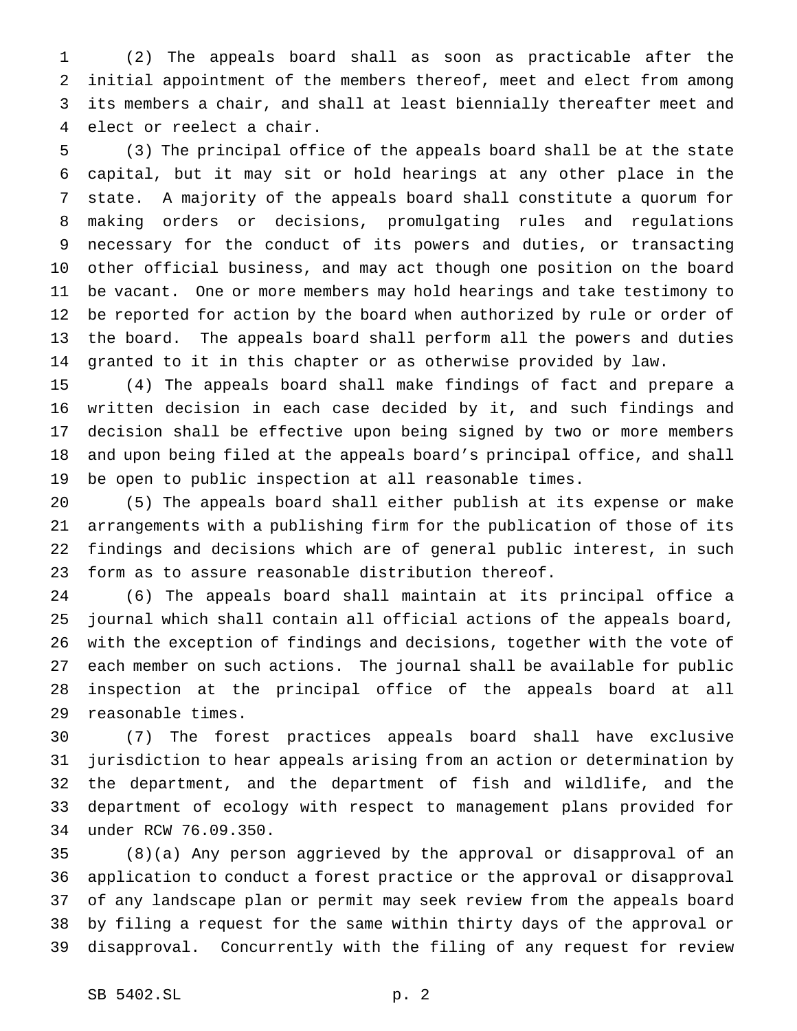(2) The appeals board shall as soon as practicable after the initial appointment of the members thereof, meet and elect from among its members a chair, and shall at least biennially thereafter meet and elect or reelect a chair.

 (3) The principal office of the appeals board shall be at the state capital, but it may sit or hold hearings at any other place in the state. A majority of the appeals board shall constitute a quorum for making orders or decisions, promulgating rules and regulations necessary for the conduct of its powers and duties, or transacting other official business, and may act though one position on the board be vacant. One or more members may hold hearings and take testimony to be reported for action by the board when authorized by rule or order of the board. The appeals board shall perform all the powers and duties granted to it in this chapter or as otherwise provided by law.

 (4) The appeals board shall make findings of fact and prepare a written decision in each case decided by it, and such findings and decision shall be effective upon being signed by two or more members and upon being filed at the appeals board's principal office, and shall be open to public inspection at all reasonable times.

 (5) The appeals board shall either publish at its expense or make arrangements with a publishing firm for the publication of those of its findings and decisions which are of general public interest, in such form as to assure reasonable distribution thereof.

 (6) The appeals board shall maintain at its principal office a journal which shall contain all official actions of the appeals board, with the exception of findings and decisions, together with the vote of each member on such actions. The journal shall be available for public inspection at the principal office of the appeals board at all reasonable times.

 (7) The forest practices appeals board shall have exclusive jurisdiction to hear appeals arising from an action or determination by the department, and the department of fish and wildlife, and the department of ecology with respect to management plans provided for under RCW 76.09.350.

 (8)(a) Any person aggrieved by the approval or disapproval of an application to conduct a forest practice or the approval or disapproval of any landscape plan or permit may seek review from the appeals board by filing a request for the same within thirty days of the approval or disapproval. Concurrently with the filing of any request for review